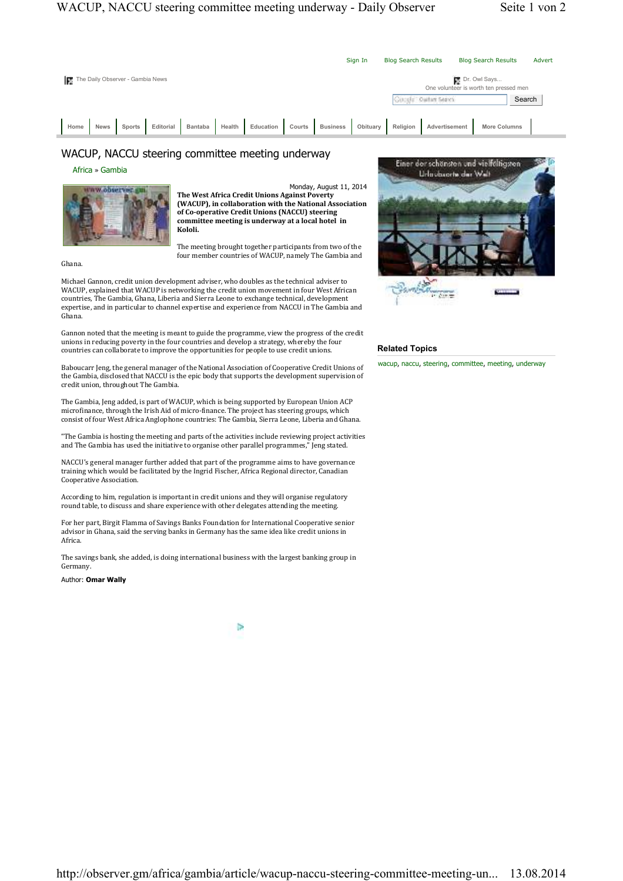

## WACUP, NACCU steering committee meeting underway

Africa » Gambia



Monday, August 11, 2014 **The West Africa Credit Unions Against Poverty** (WACUP), in collaboration with the National Association of Co-operative Credit Unions (NACCU) steering committee meeting is underway at a local hotel in **Kololi.**

The meeting brought together participants from two of the four member countries of WACUP, namely The Gambia and

Ghana. 

Michael Gannon, credit union development adviser, who doubles as the technical adviser to WACUP, explained that WACUP is networking the credit union movement in four West African countries, The Gambia, Ghana, Liberia and Sierra Leone to exchange technical, development expertise, and in particular to channel expertise and experience from NACCU in The Gambia and Ghana.

Gannon noted that the meeting is meant to guide the programme, view the progress of the credit unions in reducing poverty in the four countries and develop a strategy, whereby the four countries can collaborate to improve the opportunities for people to use credit unions.

Baboucarr Jeng, the general manager of the National Association of Cooperative Credit Unions of the Gambia, disclosed that NACCU is the epic body that supports the development supervision of credit union, throughout The Gambia.

The Gambia, Jeng added, is part of WACUP, which is being supported by European Union ACP microfinance, through the Irish Aid of micro-finance. The project has steering groups, which consist of four West Africa Anglophone countries: The Gambia, Sierra Leone, Liberia and Ghana.

"The Gambia is hosting the meeting and parts of the activities include reviewing project activities and The Gambia has used the initiative to organise other parallel programmes," Jeng stated.

NACCU's general manager further added that part of the programme aims to have governance training which would be facilitated by the Ingrid Fischer, Africa Regional director, Canadian Cooperative Association. 

According to him, regulation is important in credit unions and they will organise regulatory round table, to discuss and share experience with other delegates attending the meeting.

For her part, Birgit Flamma of Savings Banks Foundation for International Cooperative senior advisor in Ghana, said the serving banks in Germany has the same idea like credit unions in Africa. 

The savings bank, she added, is doing international business with the largest banking group in **Germany** 

Author: **Omar Wally**

b



## **Related Topics**

wacup, naccu, steering, committee, meeting, underway